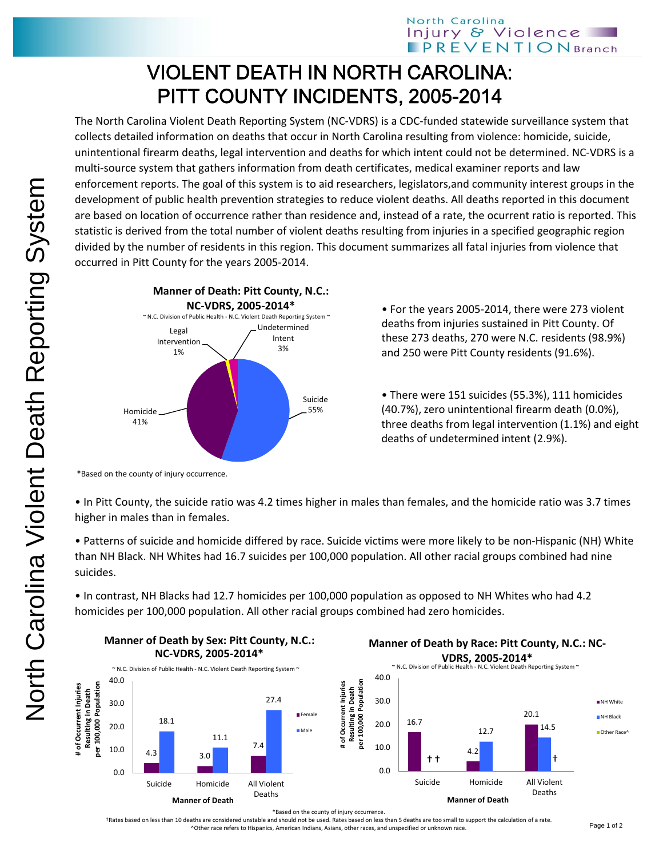## VIOLENT DEATH IN NORTH CAROLINA: PITT COUNTY INCIDENTS, 2005-2014

The North Carolina Violent Death Reporting System (NC‐VDRS) is a CDC‐funded statewide surveillance system that collects detailed information on deaths that occur in North Carolina resulting from violence: homicide, suicide, unintentional firearm deaths, legal intervention and deaths for which intent could not be determined. NC‐VDRS is a multi‐source system that gathers information from death certificates, medical examiner reports and law enforcement reports. The goal of this system is to aid researchers, legislators,and community interest groups in the development of public health prevention strategies to reduce violent deaths. All deaths reported in this document are based on location of occurrence rather than residence and, instead of a rate, the ocurrent ratio is reported. This statistic is derived from the total number of violent deaths resulting from injuries in a specified geographic region divided by the number of residents in this region. This document summarizes all fatal injuries from violence that occurred in Pitt County for the years 2005‐2014.



• For the years 2005‐2014, there were 273 violent deaths from injuries sustained in Pitt County. Of these 273 deaths, 270 were N.C. residents (98.9%) and 250 were Pitt County residents (91.6%).

• There were 151 suicides (55.3%), 111 homicides (40.7%), zero unintentional firearm death (0.0%), three deaths from legal intervention (1.1%) and eight deaths of undetermined intent (2.9%).

\*Based on the county of injury occurrence.

• In Pitt County, the suicide ratio was 4.2 times higher in males than females, and the homicide ratio was 3.7 times higher in males than in females.

• Patterns of suicide and homicide differed by race. Suicide victims were more likely to be non‐Hispanic (NH) White than NH Black. NH Whites had 16.7 suicides per 100,000 population. All other racial groups combined had nine suicides.

• In contrast, NH Blacks had 12.7 homicides per 100,000 population as opposed to NH Whites who had 4.2 homicides per 100,000 population. All other racial groups combined had zero homicides.





\*Based on the county of injury occurrence.

†Rates based on less than 10 deaths are considered unstable and should not be used. Rates based on less than 5 deaths are too small to support the calculation of a rate. ^Other race refers to Hispanics, American Indians, Asians, other races, and unspecified or unknown race.